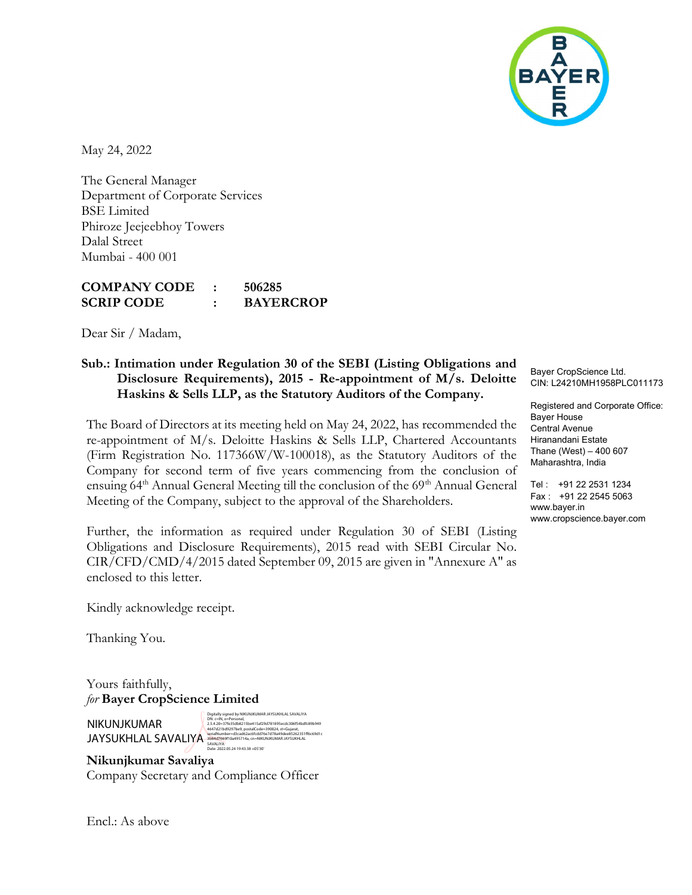

May 24, 2022

The General Manager Department of Corporate Services BSE Limited Phiroze Jeejeebhoy Towers Dalal Street Mumbai - 400 001

## COMPANY CODE : 506285 SCRIP CODE : BAYERCROP

Dear Sir / Madam,

## Sub.: Intimation under Regulation 30 of the SEBI (Listing Obligations and Disclosure Requirements), 2015 - Re-appointment of M/s. Deloitte Haskins & Sells LLP, as the Statutory Auditors of the Company.

The Board of Directors at its meeting held on May 24, 2022, has recommended the re-appointment of M/s. Deloitte Haskins & Sells LLP, Chartered Accountants (Firm Registration No. 117366W/W-100018), as the Statutory Auditors of the Company for second term of five years commencing from the conclusion of ensuing 64<sup>th</sup> Annual General Meeting till the conclusion of the 69<sup>th</sup> Annual General Meeting of the Company, subject to the approval of the Shareholders.

Further, the information as required under Regulation 30 of SEBI (Listing Obligations and Disclosure Requirements), 2015 read with SEBI Circular No. CIR/CFD/CMD/4/2015 dated September 09, 2015 are given in "Annexure A" as enclosed to this letter.

Kindly acknowledge receipt.

Thanking You.

Yours faithfully, for Bayer CropScience Limited

NIKUNJKUMAR JAYSUKHLAL SAVALIYA

Digitally signed by NIKUNJKUMAR JAYSUKHLAL SAVALIYA DN: c=IN, o=Personal, 2.5.4.20=37fe35db8215be415af29d781895ccdc306f54bdfc89b949<br>4647d21bd9297be9, postalCode=390024, st=Gujarat,<br>serialNumber=d3cad62ac6fcdd79e7d78a49dee85262351ff6c69d1c<br>5AV8LIYA<br>Date: 2022.05.24 19:43:38 +05'30'<br>Date: 2022.05.

Nikunjkumar Savaliya Company Secretary and Compliance Officer Bayer CropScience Ltd. CIN: L24210MH1958PLC011173

Registered and Corporate Office: Bayer House Central Avenue Hiranandani Estate Thane (West) – 400 607 Maharashtra, India

Tel : +91 22 2531 1234 Fax : +91 22 2545 5063 www.bayer.in www.cropscience.bayer.com

Encl.: As above